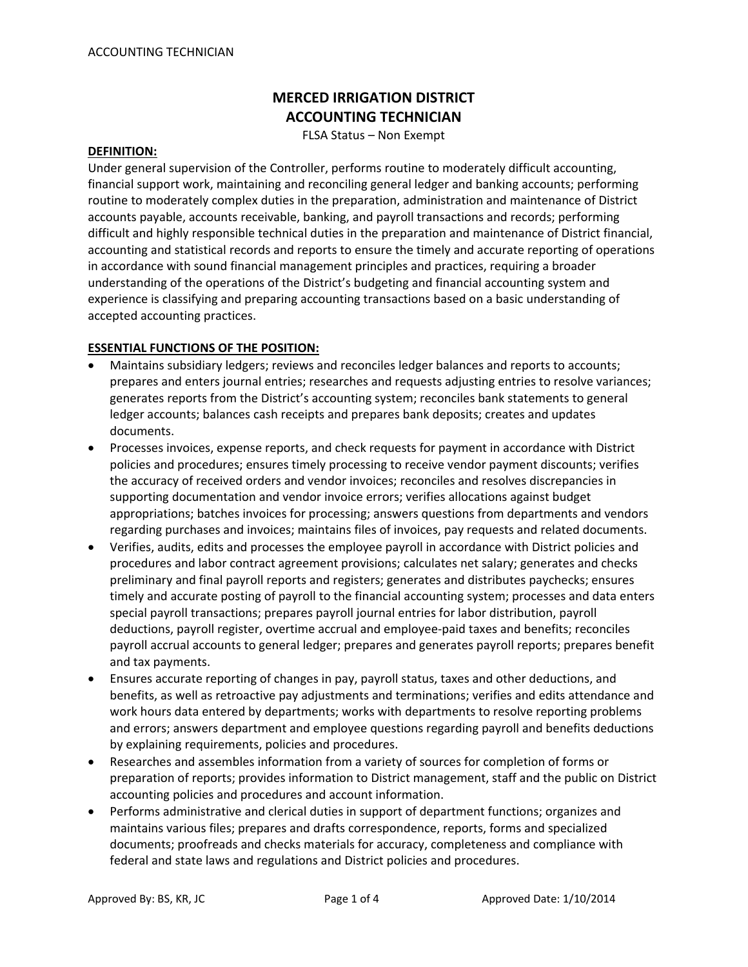# **MERCED IRRIGATION DISTRICT ACCOUNTING TECHNICIAN**

FLSA Status – Non Exempt

#### **DEFINITION:**

Under general supervision of the Controller, performs routine to moderately difficult accounting, financial support work, maintaining and reconciling general ledger and banking accounts; performing routine to moderately complex duties in the preparation, administration and maintenance of District accounts payable, accounts receivable, banking, and payroll transactions and records; performing difficult and highly responsible technical duties in the preparation and maintenance of District financial, accounting and statistical records and reports to ensure the timely and accurate reporting of operations in accordance with sound financial management principles and practices, requiring a broader understanding of the operations of the District's budgeting and financial accounting system and experience is classifying and preparing accounting transactions based on a basic understanding of accepted accounting practices.

#### **ESSENTIAL FUNCTIONS OF THE POSITION:**

- Maintains subsidiary ledgers; reviews and reconciles ledger balances and reports to accounts; prepares and enters journal entries; researches and requests adjusting entries to resolve variances; generates reports from the District's accounting system; reconciles bank statements to general ledger accounts; balances cash receipts and prepares bank deposits; creates and updates documents.
- Processes invoices, expense reports, and check requests for payment in accordance with District policies and procedures; ensures timely processing to receive vendor payment discounts; verifies the accuracy of received orders and vendor invoices; reconciles and resolves discrepancies in supporting documentation and vendor invoice errors; verifies allocations against budget appropriations; batches invoices for processing; answers questions from departments and vendors regarding purchases and invoices; maintains files of invoices, pay requests and related documents.
- Verifies, audits, edits and processes the employee payroll in accordance with District policies and procedures and labor contract agreement provisions; calculates net salary; generates and checks preliminary and final payroll reports and registers; generates and distributes paychecks; ensures timely and accurate posting of payroll to the financial accounting system; processes and data enters special payroll transactions; prepares payroll journal entries for labor distribution, payroll deductions, payroll register, overtime accrual and employee‐paid taxes and benefits; reconciles payroll accrual accounts to general ledger; prepares and generates payroll reports; prepares benefit and tax payments.
- Ensures accurate reporting of changes in pay, payroll status, taxes and other deductions, and benefits, as well as retroactive pay adjustments and terminations; verifies and edits attendance and work hours data entered by departments; works with departments to resolve reporting problems and errors; answers department and employee questions regarding payroll and benefits deductions by explaining requirements, policies and procedures.
- Researches and assembles information from a variety of sources for completion of forms or preparation of reports; provides information to District management, staff and the public on District accounting policies and procedures and account information.
- Performs administrative and clerical duties in support of department functions; organizes and maintains various files; prepares and drafts correspondence, reports, forms and specialized documents; proofreads and checks materials for accuracy, completeness and compliance with federal and state laws and regulations and District policies and procedures.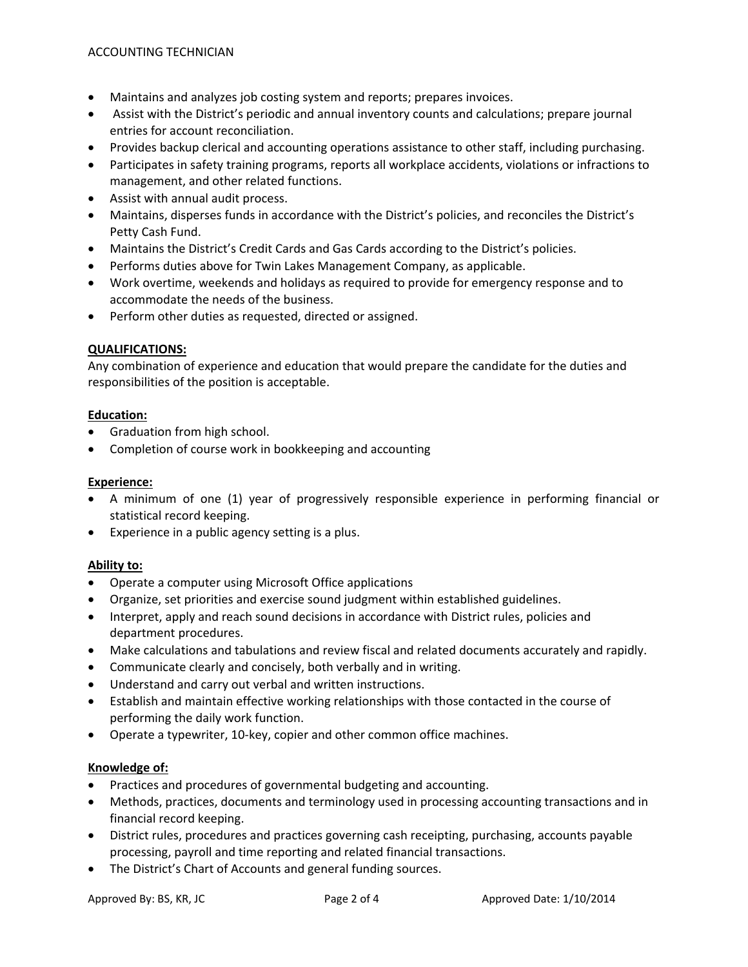- Maintains and analyzes job costing system and reports; prepares invoices.
- Assist with the District's periodic and annual inventory counts and calculations; prepare journal entries for account reconciliation.
- Provides backup clerical and accounting operations assistance to other staff, including purchasing.
- Participates in safety training programs, reports all workplace accidents, violations or infractions to management, and other related functions.
- Assist with annual audit process.
- Maintains, disperses funds in accordance with the District's policies, and reconciles the District's Petty Cash Fund.
- Maintains the District's Credit Cards and Gas Cards according to the District's policies.
- Performs duties above for Twin Lakes Management Company, as applicable.
- Work overtime, weekends and holidays as required to provide for emergency response and to accommodate the needs of the business.
- Perform other duties as requested, directed or assigned.

## **QUALIFICATIONS:**

Any combination of experience and education that would prepare the candidate for the duties and responsibilities of the position is acceptable.

## **Education:**

- Graduation from high school.
- Completion of course work in bookkeeping and accounting

## **Experience:**

- A minimum of one (1) year of progressively responsible experience in performing financial or statistical record keeping.
- Experience in a public agency setting is a plus.

## **Ability to:**

- Operate a computer using Microsoft Office applications
- Organize, set priorities and exercise sound judgment within established guidelines.
- Interpret, apply and reach sound decisions in accordance with District rules, policies and department procedures.
- Make calculations and tabulations and review fiscal and related documents accurately and rapidly.
- Communicate clearly and concisely, both verbally and in writing.
- Understand and carry out verbal and written instructions.
- Establish and maintain effective working relationships with those contacted in the course of performing the daily work function.
- Operate a typewriter, 10‐key, copier and other common office machines.

## **Knowledge of:**

- Practices and procedures of governmental budgeting and accounting.
- Methods, practices, documents and terminology used in processing accounting transactions and in financial record keeping.
- District rules, procedures and practices governing cash receipting, purchasing, accounts payable processing, payroll and time reporting and related financial transactions.
- The District's Chart of Accounts and general funding sources.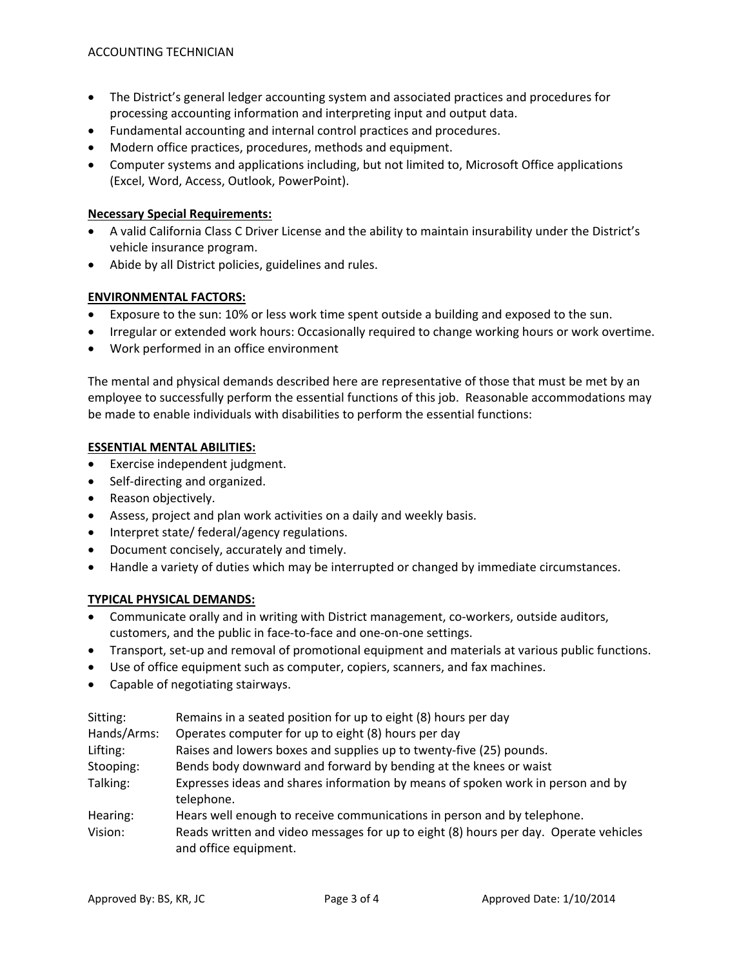- The District's general ledger accounting system and associated practices and procedures for processing accounting information and interpreting input and output data.
- Fundamental accounting and internal control practices and procedures.
- Modern office practices, procedures, methods and equipment.
- Computer systems and applications including, but not limited to, Microsoft Office applications (Excel, Word, Access, Outlook, PowerPoint).

## **Necessary Special Requirements:**

- A valid California Class C Driver License and the ability to maintain insurability under the District's vehicle insurance program.
- Abide by all District policies, guidelines and rules.

#### **ENVIRONMENTAL FACTORS:**

- Exposure to the sun: 10% or less work time spent outside a building and exposed to the sun.
- Irregular or extended work hours: Occasionally required to change working hours or work overtime.
- Work performed in an office environment

The mental and physical demands described here are representative of those that must be met by an employee to successfully perform the essential functions of this job. Reasonable accommodations may be made to enable individuals with disabilities to perform the essential functions:

#### **ESSENTIAL MENTAL ABILITIES:**

- Exercise independent judgment.
- Self-directing and organized.
- Reason objectively.
- Assess, project and plan work activities on a daily and weekly basis.
- Interpret state/ federal/agency regulations.
- Document concisely, accurately and timely.
- Handle a variety of duties which may be interrupted or changed by immediate circumstances.

## **TYPICAL PHYSICAL DEMANDS:**

- Communicate orally and in writing with District management, co‐workers, outside auditors, customers, and the public in face‐to‐face and one‐on‐one settings.
- Transport, set-up and removal of promotional equipment and materials at various public functions.
- Use of office equipment such as computer, copiers, scanners, and fax machines.
- Capable of negotiating stairways.

| Sitting:    | Remains in a seated position for up to eight (8) hours per day                                                |
|-------------|---------------------------------------------------------------------------------------------------------------|
| Hands/Arms: | Operates computer for up to eight (8) hours per day                                                           |
| Lifting:    | Raises and lowers boxes and supplies up to twenty-five (25) pounds.                                           |
| Stooping:   | Bends body downward and forward by bending at the knees or waist                                              |
| Talking:    | Expresses ideas and shares information by means of spoken work in person and by<br>telephone.                 |
| Hearing:    | Hears well enough to receive communications in person and by telephone.                                       |
| Vision:     | Reads written and video messages for up to eight (8) hours per day. Operate vehicles<br>and office equipment. |